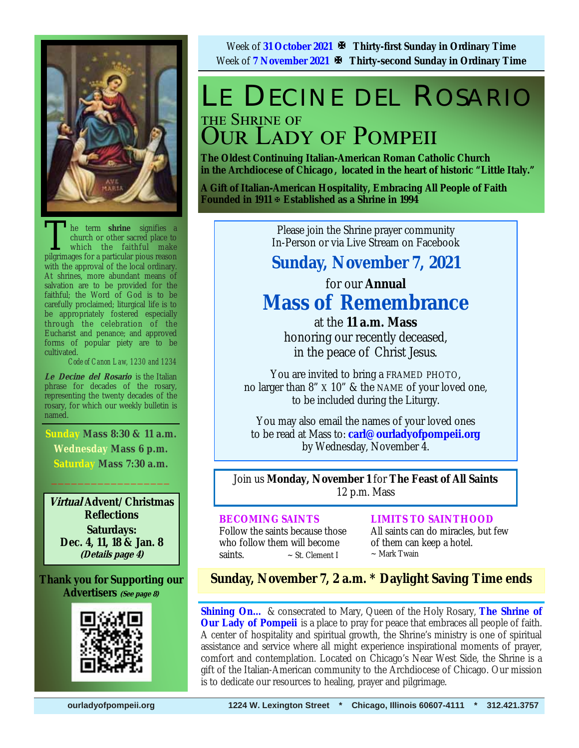

The term **shrine** signifies a church or other sacred place to which the faithful make pilerimages for a particular pious reason church or other sacred place to which the faithful make pilgrimages for a particular pious reason with the approval of the local ordinary. At shrines, more abundant means of salvation are to be provided for the faithful; the Word of God is to be carefully proclaimed; liturgical life is to be appropriately fostered especially through the celebration of the Eucharist and penance; and approved forms of popular piety are to be cultivated.

*Code of Canon Law, 1230 and 1234* 

**Le Decine del Rosario** is the Italian phrase for decades of the rosary, representing the twenty decades of the rosary, for which our weekly bulletin is named.

**Sunday Mass 8:30 & 11 a.m. Wednesday Mass 6 p.m. Saturday Mass 7:30 a.m.**   $\frac{1}{2}$  ,  $\frac{1}{2}$  ,  $\frac{1}{2}$  ,  $\frac{1}{2}$  ,  $\frac{1}{2}$  ,  $\frac{1}{2}$  ,  $\frac{1}{2}$  ,  $\frac{1}{2}$ 

**Virtual Advent/Christmas Reflections Saturdays: Dec. 4, 11, 18 & Jan. 8 (Details page 4)**

**Thank you for Supporting our Advertisers (See page 8)**



Week of **31 October 2021 Thirty-first Sunday in Ordinary Time** Week of **7 November 2021 Thirty-second Sunday in Ordinary Time** 

# LE DECINE DEL ROSARIO THE SHRINE OF DUR LADY OF POMPEII

**The Oldest Continuing Italian-American Roman Catholic Church in the Archdiocese of Chicago , located in the heart of historic "Little Italy."** 

**A Gift of Italian-American Hospitality, Embracing All People of Faith Founded in 1911 Established as a Shrine in 1994**

> Please join the Shrine prayer community In-Person or via Live Stream on Facebook

## **Sunday, November 7, 2021**

# for our **Annual Mass of Remembrance**

at the **11 a.m. Mass**  honoring our recently deceased, in the peace of Christ Jesus.

You are invited to bring a FRAMED PHOTO, no larger than 8" X 10" & the NAME of your loved one, to be included during the Liturgy.

You may also email the names of your loved ones to be read at Mass to: **carl@ourladyofpompeii.org** by Wednesday, November 4.

Join us **Monday, November 1** for **The Feast of All Saints**  12 p.m. Mass

#### **BECOMING SAINTS**

Follow the saints because those who follow them will become saints.  $\sim$  St. Clement I

**LIMITS TO SAINTHOOD**

All saints can do miracles, but few of them can keep a hotel.  $\sim$  Mark Twain

## **Sunday, November 7, 2 a.m. \* Daylight Saving Time ends**

**Shining On…** & consecrated to Mary, Queen of the Holy Rosary, **The Shrine of Our Lady of Pompeii** is a place to pray for peace that embraces all people of faith. A center of hospitality and spiritual growth, the Shrine's ministry is one of spiritual assistance and service where all might experience inspirational moments of prayer, comfort and contemplation. Located on Chicago's Near West Side, the Shrine is a gift of the Italian-American community to the Archdiocese of Chicago. Our mission is to dedicate our resources to healing, prayer and pilgrimage.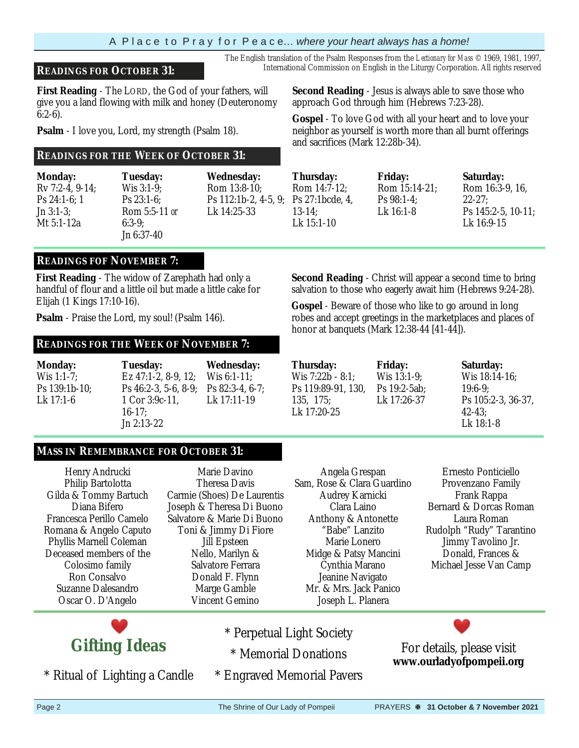#### A P l a c e t o P r a y f o r P e a c e… *where your heart always has a home!*

#### **READINGS FOR OCTOBER 31:** International Commission on English in the Liturgy Corporation. All rights reserved

**First Reading** - The LORD, the God of your fathers, will give you a land flowing with milk and honey (Deuteronomy 6:2-6).

**Psalm** - I love you, Lord, my strength (Psalm 18).

#### **READINGS FOR THE WEEK OF OCTOBER 31:**

**Monday:**  Rv 7:2-4, 9-14; Ps 24:1-6; 1 Jn 3:1-3; Mt 5:1-12a

**Tuesday:**  Wis 3:1-9; Ps 23:1-6; Rom 5:5-11 *or*  6:3-9; Jn 6:37-40

**Wednesday:**  Rom 13:8-10; Ps 112:1b-2, 4-5, 9; Lk 14:25-33

#### **READINGS FOF NOVEMBER 7:**

**First Reading** - The widow of Zarephath had only a handful of flour and a little oil but made a little cake for Elijah (1 Kings 17:10-16).

**Psalm** - Praise the Lord, my soul! (Psalm 146).

#### **READINGS FOR THE WEEK OF NOVEMBER 7:**

**Monday:** Wis 1:1-7; Ps 139:1b-10; Lk 17:1-6

**Tuesday:**  Ez 47:1-2, 8-9, 12; Ps 46:2-3, 5-6, 8-9; 1 Cor 3:9c-11, 16-17; Jn 2:13-22 **Wednesday:**  Wis 6:1-11: Ps 82:3-4, 6-7; Lk 17:11-19

### **MASS IN REMEMBRANCE FOR OCTOBER 31:**

Henry Andrucki Philip Bartolotta Gilda & Tommy Bartuch Diana Bifero Francesca Perillo Camelo Romana & Angelo Caputo Phyllis Marnell Coleman Deceased members of the Colosimo family Ron Consalvo Suzanne Dalesandro Oscar O. D'Angelo

**Gifting Ideas** 

\* Ritual of Lighting a Candle

Marie Davino Theresa Davis Carmie (Shoes) De Laurentis Joseph & Theresa Di Buono Salvatore & Marie Di Buono Toni & Jimmy Di Fiore Jill Epsteen Nello, Marilyn & Salvatore Ferrara Donald F. Flynn Marge Gamble Vincent Gemino

- Joseph L. Planera \* Perpetual Light Society \* Memorial Donations
- \* Engraved Memorial Pavers

**Second Reading** - Jesus is always able to save those who approach God through him (Hebrews 7:23-28).

The English translation of the Psalm Responses from the *Lectionary for Mass* © 1969, 1981, 1997,

**Gospel** - To love God with all your heart and to love your neighbor as yourself is worth more than all burnt offerings and sacrifices (Mark 12:28b-34).

**Thursday:**  Rom 14:7-12; Ps 27:1bcde, 4, 13-14; Lk 15:1-10

**Friday:**  Rom 15:14-21; Ps 98:1-4; Lk 16:1-8

**Saturday:**  Rom 16:3-9, 16,

22-27; Ps 145:2-5, 10-11; Lk 16:9-15

**Second Reading** - Christ will appear a second time to bring salvation to those who eagerly await him (Hebrews 9:24-28).

**Gospel** - Beware of those who like to go around in long robes and accept greetings in the marketplaces and places of honor at banquets (Mark 12:38-44 [41-44]).

**Thursday:**  Wis 7:22b - 8:1; Ps 119:89-91, 130, 135, 175; Lk 17:20-25

Angela Grespan

Audrey Karnicki Clara Laino Anthony & Antonette "Babe" Lanzito Marie Lonero Midge & Patsy Mancini Cynthia Marano Jeanine Navigato Mr. & Mrs. Jack Panico

**Friday:** Wis 13:1-9; Ps 19:2-5ab; Lk 17:26-37

**Saturday:**  Wis 18:14-16; 19:6-9; Ps 105:2-3, 36-37, 42-43; Lk 18:1-8

Sam, Rose & Clara Guardino Ernesto Ponticiello Provenzano Family Frank Rappa Bernard & Dorcas Roman Laura Roman Rudolph "Rudy" Tarantino Jimmy Tavolino Jr. Donald, Frances & Michael Jesse Van Camp



For details, please visit **www.ourladyofpompeii.org**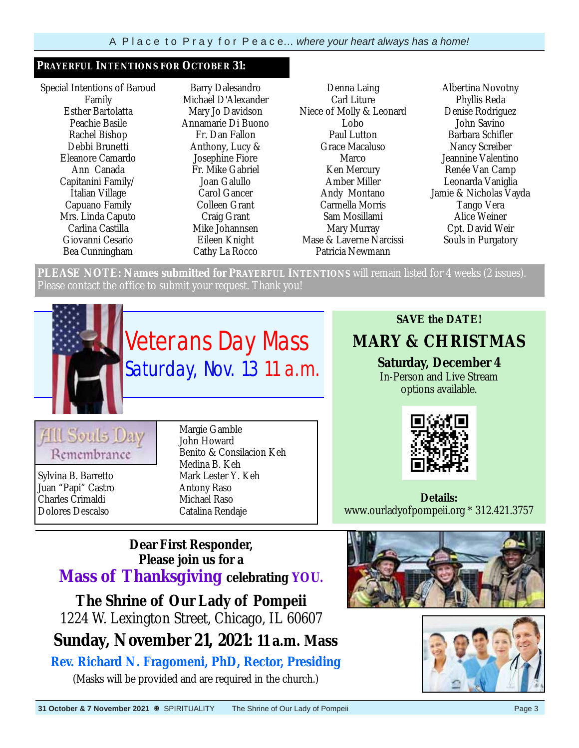#### **PRAYERFUL INTENTIONS FOR OCTOBER 31:**

Special Intentions of Baroud Family Esther Bartolatta Peachie Basile Rachel Bishop Debbi Brunetti Eleanore Camardo Ann Canada Capitanini Family/ Italian Village Capuano Family Mrs. Linda Caputo Carlina Castilla Giovanni Cesario Bea Cunningham

Barry Dalesandro Michael D'Alexander Mary Jo Davidson Annamarie Di Buono Fr. Dan Fallon Anthony, Lucy & Josephine Fiore Fr. Mike Gabriel Joan Galullo Carol Gancer Colleen Grant Craig Grant Mike Johannsen Eileen Knight Cathy La Rocco

Denna Laing Carl Liture Niece of Molly & Leonard Lobo Paul Lutton Grace Macaluso **Marco** Ken Mercury Amber Miller Andy Montano Carmella Morris Sam Mosillami Mary Murray Mase & Laverne Narcissi Patricia Newmann

Albertina Novotny Phyllis Reda Denise Rodriguez John Savino Barbara Schifler Nancy Screiber Jeannine Valentino Renée Van Camp Leonarda Vaniglia Jamie & Nicholas Vayda Tango Vera Alice Weiner Cpt. David Weir Souls in Purgatory

**PLEASE NOTE: Names submitted for PRAYERFUL INTENTIONS** will remain listed for 4 weeks (2 issues). Please contact the office to submit your request. Thank you!

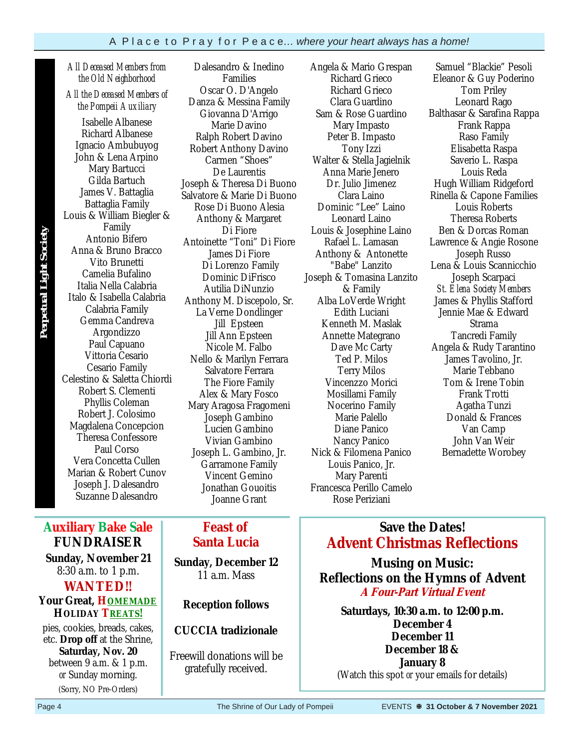*All Deceased Members from the Old Neighborhood* 

*All the Deceased Members of the Pompeii Auxiliary* 

Isabelle Albanese Richard Albanese Ignacio Ambubuyog John & Lena Arpino Mary Bartucci Gilda Bartuch James V. Battaglia Battaglia Family Louis & William Biegler & Family Antonio Bifero Anna & Bruno Bracco Vito Brunetti Camelia Bufalino Italia Nella Calabria Italo & Isabella Calabria Calabria Family Gemma Candreva Argondizzo Paul Capuano Vittoria Cesario Cesario Family Celestino & Saletta Chiordi Robert S. Clementi Phyllis Coleman Robert J. Colosimo Magdalena Concepcion Theresa Confessore Paul Corso Vera Concetta Cullen Marian & Robert Cunov Joseph J. Dalesandro Suzanne Dalesandro

**Auxiliary Bake Sale FUNDRAISER Sunday, November 21**  8:30 a.m. to 1 p.m. **WANTED!! Your Great, HOMEMADE HOLIDAY TREATS!** pies, cookies, breads, cakes, etc. **Drop off** at the Shrine, **Saturday, Nov. 20**  between 9 a.m. & 1 p.m. *or* Sunday morning. (Sorry, NO Pre-Orders)

**Perpetual Light Society**

**Perpetual Light Society** 

Dalesandro & Inedino Families Oscar O. D'Angelo Danza & Messina Family Giovanna D'Arrigo Marie Davino Ralph Robert Davino Robert Anthony Davino Carmen "Shoes" De Laurentis Joseph & Theresa Di Buono Salvatore & Marie Di Buono Rose Di Buono Alesia Anthony & Margaret Di Fiore Antoinette "Toni" Di Fiore James Di Fiore Di Lorenzo Family Dominic DiFrisco Autilia DiNunzio Anthony M. Discepolo, Sr. La Verne Dondlinger Jill Epsteen Jill Ann Epsteen Nicole M. Falbo Nello & Marilyn Ferrara Salvatore Ferrara The Fiore Family Alex & Mary Fosco Mary Aragosa Fragomeni Joseph Gambino Lucien Gambino Vivian Gambino Joseph L. Gambino, Jr. Garramone Family Vincent Gemino Jonathan Gouoitis Joanne Grant

### **Feast of Santa Lucia**

**Sunday, December 12**  11 a.m. Mass

#### **Reception follows**

**CUCCIA tradizionale** 

Freewill donations will be gratefully received.

Angela & Mario Grespan Richard Grieco Richard Grieco Clara Guardino Sam & Rose Guardino Mary Impasto Peter B. Impasto Tony Izzi Walter & Stella Jagielnik Anna Marie Jenero Dr. Julio Jimenez Clara Laino Dominic "Lee" Laino Leonard Laino Louis & Josephine Laino Rafael L. Lamasan Anthony & Antonette "Babe" Lanzito Joseph & Tomasina Lanzito & Family Alba LoVerde Wright Edith Luciani Kenneth M. Maslak Annette Mategrano Dave Mc Carty Ted P. Milos Terry Milos Vincenzzo Morici Mosillami Family Nocerino Family Marie Palello Diane Panico Nancy Panico Nick & Filomena Panico Louis Panico, Jr. Mary Parenti Francesca Perillo Camelo Rose Periziani

Samuel "Blackie" Pesoli Eleanor & Guy Poderino Tom Priley Leonard Rago Balthasar & Sarafina Rappa Frank Rappa Raso Family Elisabetta Raspa Saverio L. Raspa Louis Reda Hugh William Ridgeford Rinella & Capone Families Louis Roberts Theresa Roberts Ben & Dorcas Roman Lawrence & Angie Rosone Joseph Russo Lena & Louis Scannicchio Joseph Scarpaci *St. Elena Society Members*  James & Phyllis Stafford Jennie Mae & Edward Strama Tancredi Family Angela & Rudy Tarantino James Tavolino, Jr. Marie Tebbano Tom & Irene Tobin Frank Trotti Agatha Tunzi Donald & Frances Van Camp John Van Weir Bernadette Worobey

## **Save the Dates! Advent Christmas Reflections**

**Musing on Music: Reflections on the Hymns of Advent A Four-Part Virtual Event** 

**Saturdays, 10:30 a.m. to 12:00 p.m. December 4 December 11 December 18 & January 8**  (Watch this spot *or* your emails for details)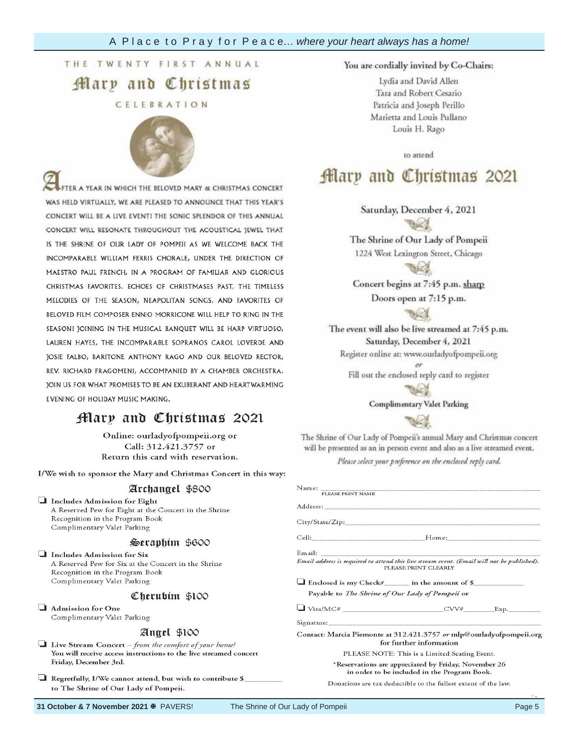**Garden of** 

 $\mathbf{R}$ ary

## **Engraved**



Each 4" x 8"

paver costs **250.00.**  ER A YEAR IN WHICH THE BELOVED MARY & CHRISTMAS CONCERT WAS HELD VIRTUALLY, WE ARE PLEASED TO ANNOUNCE THAT THIS YEAR'S CONCERT WILL BE A LIVE EVENT! THE SONIC SPLENDOR OF THIS ANNUAL CONCERT WILL RESONATE THROUGHOUT THE ACOUSTICAL JEWEL THAT IS THE SHRINE OF OUR LADY OF POMPEII AS WE WELCOME BACK THE INCOMPARABLE WILLIAM FERRIS CHORALE, UNDER THE DIRECTION OF INCOPITANABLE MAESTRO PAUL FRENC CHRISTMAS FAVORITES. ECHOES OF CHRISTMASES PAST, THE TIMELESS MELODIES OF THE SEASON, NEAPOLITAN SONGS, AND FAVORITES OF BELOVED FILM COMPOSER ENNIO MORRICONE WILL HELP TO RING IN THE SEASON! JOINING IN THE MUSICAL BANQUET WILL BE HARP VIRTUOSO, LAUREN HAYES, THE INCOMPARABLE SOPRANOS CAROL LOVERDE AND JOSIE FALBO, BARITONE ANTHONY RAGO AND OUR BELOVED RECTOR, REV. RICHARD FRAGOMENI, ACCOMPANIED BY A CHAMBER ORCHESTRA. JOIN US FOR WHAT PROMISES TO BE AN EXUBERANT AND HEARTWARMING EVENING OF HOLIDAY MUSIC MAKING.

## Mary and Christmas 2021

Online: ourladyofpompeii.org or Call: 312.421.3757 or Return this card with reservation.

I/We wish to sponsor the Mary and Christmas Concert in this way:

#### Archangel \$800

Includes Admission for Eight A Reserved Pew for Eight at the Concert in the Shrine Recognition in the Program Book Complimentary Valet Parking

#### Seraphim \$600

Includes Admission for Six A Reserved Pew for Six at the Concert in the Shrine Recognition in the Program Book Complimentary Valet Parking

#### Cherubim \$100

Admission for One Complimentary Valet Parking

#### Angel \$100

- □ Live Stream Concert from the comfort of your home! You will receive access instructions to the live streamed concert Friday, December 3rd.
- Regretfully, I/We cannot attend, but wish to contribute \$\_ to The Shrine of Our Lady of Pompeii.

You are cordially invited by Co-Chairs:

Lydia and David Allen Tara and Robert Cesario Patricia and Joseph Perillo Marietta and Louis Pullano Louis H. Rago

to attend

## Mary and Christmas 2021

Saturday, December 4, 2021

The Shrine of Our Lady of Pompeii 1224 West Lexington Street, Chicago

Concert begins at 7:45 p.m. sharp Doors open at 7:15 p.m.

The event will also be live streamed at 7:45 p.m. Saturday, December 4, 2021 Register online at: www.ourladyofpompeii.org

Fill out the enclosed reply card to register



**Complimentary Valet Parking** 

Please Print Clearly and Legible to avoid extensive print Clearly to avoid extensive print Clearly to avoid extensive print Clearly and Legible to avoid extensive print Clearly and Legible to avoid extensive print Clearly

The Shrine of Our Lady of Pompeii's annual Mary and Christmas concert will be presented as an in person event and also as a live streamed event. Please select your preference on the enclosed reply card.

| Name: PLEASE PRINT NAME                                                                                            |
|--------------------------------------------------------------------------------------------------------------------|
|                                                                                                                    |
|                                                                                                                    |
|                                                                                                                    |
| Email address is required to attend this live stream event. (Email will not be published).<br>PLEASE PRINT CLEARLY |
| $\Box$ Enclosed is my Check# in the amount of \$<br>Payable to The Shrine of Our Lady of Pompeii or                |
|                                                                                                                    |
| Signature: Signature:                                                                                              |
| Contact: Marcia Piemonte at 312.421.3757 or mlp@ourladyofpompeii.org<br>for further information                    |
| PLEASE NOTE: This is a Limited Seating Event.                                                                      |
| *Reservations are appreciated by Friday, November 26<br>in order to be included in the Program Book.               |
| Donations are tax deductible to the fullest extent of the law.                                                     |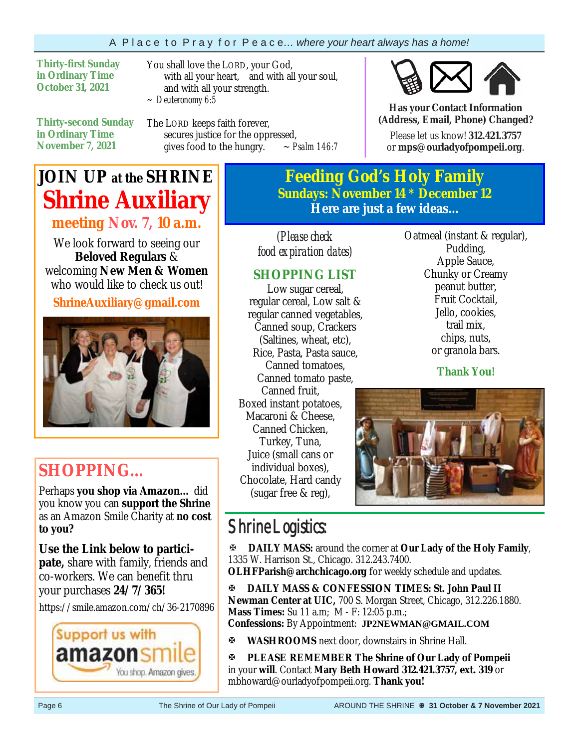#### A P l a c e t o P r a y f o r P e a c e… *where your heart always has a home!*

**Thirty-first Sunday in Ordinary Time October 31, 2021** 

You shall love the LORD, your God, with all your heart, and with all your soul, and with all your strength. *~ Deuteronomy 6:5*

**Thirty-second Sunday in Ordinary Time November 7, 2021**

The LORD keeps faith forever, secures justice for the oppressed,<br>gives food to the hungry.  $\sim$  *Psalm 146:7* gives food to the hungry.



**Has your Contact Information (Address, Email, Phone) Changed?**

Please let us know! **312.421.3757**  or **mps@ourladyofpompeii.org**.

# **JOIN UP at the SHRINE Shrine Auxiliary**

**meeting Nov. 7, 10 a.m.** We look forward to seeing our **Beloved Regulars** &

welcoming **New Men & Women**  who would like to check us out!

**ShrineAuxiliary@gmail.com** 



# **SHOPPING…**

Perhaps **you shop via Amazon…** did you know you can **support the Shrine**  as an Amazon Smile Charity at **no cost to you?** 

**Use the Link below to participate,** share with family, friends and co-workers. We can benefit thru your purchases **24/7/365!**

https://smile.amazon.com/ch/36-2170896



**Feeding God's Holy Family Sundays: November 14 \* December 12 Here are just a few ideas...** 

*(Please check food expiration dates)* 

### **SHOPPING LIST**

Low sugar cereal, regular cereal, Low salt & regular canned vegetables, Canned soup, Crackers (Saltines, wheat, etc), Rice, Pasta, Pasta sauce, Canned tomatoes, Canned tomato paste, Canned fruit, Boxed instant potatoes, Macaroni & Cheese, Canned Chicken, Turkey, Tuna, Juice (small cans or individual boxes), Chocolate, Hard candy (sugar free & reg),

Oatmeal (instant & regular), Pudding, Apple Sauce, Chunky or Creamy peanut butter, Fruit Cocktail, Jello, cookies, trail mix, chips, nuts, or granola bars.

**Thank You!**



# Shrine Logistics:

**DAILY MASS:** around the corner at **Our Lady of the Holy Family**, 1335 W. Harrison St., Chicago. 312.243.7400.

**OLHFParish@archchicago.org** for weekly schedule and updates.

**DAILY MASS & CONFESSION TIMES: St. John Paul II Newman Center at UIC,** 700 S. Morgan Street, Chicago, 312.226.1880. **Mass Times:** Su 11 a.m; M - F: 12:05 p.m.; **Confessions:** By Appointment: **JP2NEWMAN@GMAIL.COM**

**WASHROOMS** next door, downstairs in Shrine Hall.

**PLEASE REMEMBER The Shrine of Our Lady of Pompeii**  in your **will**. Contact **Mary Beth Howard 312.421.3757, ext. 319** or mbhoward@ourladyofpompeii.org. **Thank you!**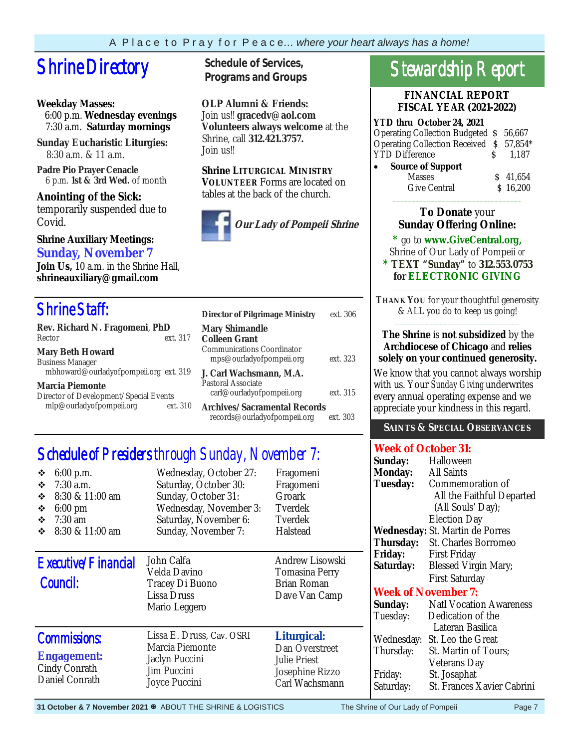# **Shrine Directory** Schedule of Services,

#### **Weekday Masses:**

 6:00 p.m. **Wednesday evenings** 7:30 a.m. **Saturday mornings**

**Sunday Eucharistic Liturgies:** 8:30 a.m. & 11 a.m.

**Padre Pio Prayer Cenacle** 6 p.m. **1st & 3rd Wed.** of month

**Anointing of the Sick:**  temporarily suspended due to Covid.

#### **Shrine Auxiliary Meetings: Sunday, November 7**

**Join Us,** 10 a.m. in the Shrine Hall, **shrineauxiliary@gmail.com** 

## Shrine Staff:

| Rev. Richard N. Fragomeni, PhD                     | $\mathbf{M}$            |
|----------------------------------------------------|-------------------------|
| ext. 317<br>Rector                                 | Co.                     |
| <b>Mary Beth Howard</b><br><b>Business Manager</b> | Co<br>ľ                 |
| mbhoward@ourladyofpompeii.org ext. 319             | J.                      |
| <b>Marcia Piemonte</b>                             | Pas                     |
| Director of Development/Special Events             | $\overline{\mathbf{a}}$ |
| mlp@ourladyofpompeii.org<br>ext. 310               | An                      |

**Programs and Groups**

**OLP Alumni & Friends:**  Join us!! **gracedv@aol.com Volunteers always welcome** at the Shrine, call **312.421.3757.**  Join us!!

**Shrine LITURGICAL MINISTRY VOLUNTEER** Forms are located on tables at the back of the church.



| <b>Director of Pilgrimage Ministry</b>                                      | ext. 306 |  |
|-----------------------------------------------------------------------------|----------|--|
| <b>Mary Shimandle</b><br><b>Colleen Grant</b><br>Communications Coordinator |          |  |
| mps@ourladyofpompeii.org                                                    | ext. 323 |  |
| J. Carl Wachsmann. M.A.<br>Pastoral Associate<br>carl@ourladyofpompeii.org  | ext. 315 |  |
| Archives/Sacramental Records<br>records@ourladyofpompeii.org<br>ext. 303    |          |  |

# Schedule of Presiders through Sunday, November 7:

| $6:00$ p.m.<br>❖<br>$7:30$ a.m.<br>❖<br>8:30 & 11:00 am<br>❖<br>$6:00 \text{ pm}$<br>❖<br>$7:30$ am<br>❖<br>8:30 & 11:00 am<br>❖ | Wednesday, October 27:<br>Saturday, October 30:<br>Sunday, October 31:<br>Wednesday, November 3:<br>Saturday, November 6:<br>Sunday, November 7: | Fragomeni<br>Fragomeni<br>Groark<br>Tverdek<br>Tverdek<br>Halstead                        |
|----------------------------------------------------------------------------------------------------------------------------------|--------------------------------------------------------------------------------------------------------------------------------------------------|-------------------------------------------------------------------------------------------|
| Executive/Financial<br>Council:                                                                                                  | John Calfa<br>Velda Davino<br>Tracey Di Buono<br>Lissa Druss<br>Mario Leggero                                                                    | Andrew Lisowski<br>Tomasina Perry<br>Brian Roman<br>Dave Van Camp                         |
| <b>Commissions:</b><br><b>Engagement:</b><br>Cindy Conrath<br>Daniel Conrath                                                     | Lissa E. Druss, Cav. OSRI<br>Marcia Piemonte<br>Jaclyn Puccini<br>Jim Puccini<br>Joyce Puccini                                                   | Liturgical:<br>Dan Overstreet<br><b>Julie Priest</b><br>Josephine Rizzo<br>Carl Wachsmann |

# Stewardship Report

**FINANCIAL REPORT FISCAL YEAR (2021-2022)** 

| <b>YTD thru October 24, 2021</b>         |  |          |  |  |
|------------------------------------------|--|----------|--|--|
| Operating Collection Budgeted \$56,667   |  |          |  |  |
| Operating Collection Received \$ 57,854* |  |          |  |  |
| <b>YTD Difference</b>                    |  | 1.187    |  |  |
| <b>Source of Support</b>                 |  |          |  |  |
| <b>Masses</b>                            |  | \$41,654 |  |  |
| <b>Give Central</b>                      |  | \$16,200 |  |  |

#### **To Donate** your **Sunday Offering Online:**

 $\overline{\phantom{a}}$  ,  $\overline{\phantom{a}}$  ,  $\overline{\phantom{a}}$  ,  $\overline{\phantom{a}}$  ,  $\overline{\phantom{a}}$  ,  $\overline{\phantom{a}}$  ,  $\overline{\phantom{a}}$  ,  $\overline{\phantom{a}}$  ,  $\overline{\phantom{a}}$  ,  $\overline{\phantom{a}}$  ,  $\overline{\phantom{a}}$  ,  $\overline{\phantom{a}}$  ,  $\overline{\phantom{a}}$  ,  $\overline{\phantom{a}}$  ,  $\overline{\phantom{a}}$  ,  $\overline{\phantom{a}}$ 

**\*** go to **www.GiveCentral.org,**

Shrine of Our Lady of Pompeii *or*  **\* TEXT "Sunday"** to **312.553.0753 for ELECTRONIC GIVING**

\_\_\_\_\_\_\_\_\_\_\_\_\_\_\_\_\_\_\_\_\_\_\_\_\_\_\_\_\_\_\_\_\_ **THANK YOU** for your thoughtful generosity & ALL you do to keep us going! \_\_\_\_\_\_\_\_\_\_\_\_\_\_\_\_\_\_\_\_\_\_\_\_\_\_\_\_\_\_\_\_\_

#### **The Shrine** is **not subsidized** by the **Archdiocese of Chicago** and **relies solely on your continued generosity.**

We know that you cannot always worship with us. Your *Sunday Giving* underwrites every annual operating expense and we appreciate your kindness in this regard.

#### **SAINTS & SPECIAL OBSERVANCES**

### **Week of October 31:**

| Sunday:         | Halloween                              |
|-----------------|----------------------------------------|
| <b>Monday:</b>  | <b>All Saints</b>                      |
| <b>Tuesday:</b> | Commemoration of                       |
|                 | All the Faithful Departed              |
|                 | (All Souls' Day);                      |
|                 | <b>Election Day</b>                    |
|                 | <b>Wednesday:</b> St. Martin de Porres |
| Thursday:       | St. Charles Borromeo                   |
| <b>Friday:</b>  | <b>First Friday</b>                    |
| Saturday:       | <b>Blessed Virgin Mary;</b>            |
|                 | <b>First Saturday</b>                  |
|                 | <b>Week of November 7:</b>             |
| Sunday:         | <b>Natl Vocation Awareness</b>         |
| Tuesday:        | Dedication of the                      |
|                 | Lateran Basilica                       |
| Wednesday:      | St. Leo the Great                      |
| Thursday:       | St. Martin of Tours;                   |
|                 | Veterans Day                           |
| Friday:         | St. Josaphat                           |
| Saturday:       | St. Frances Xavier Cabrini             |